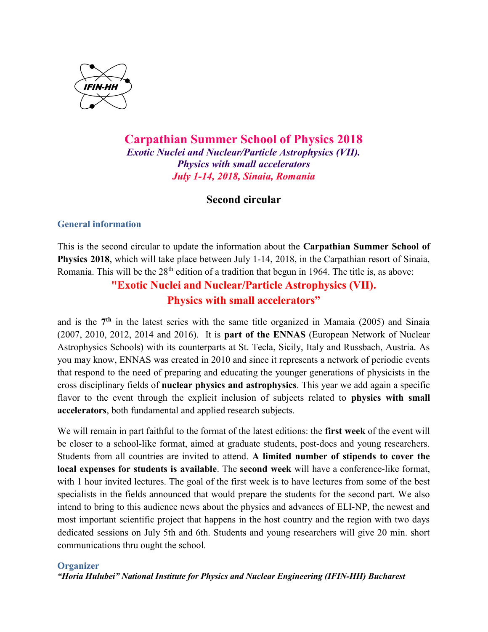

# Carpathian Summer School of Physics 2018 Exotic Nuclei and Nuclear/Particle Astrophysics (VII). Physics with small accelerators July 1-14, 2018, Sinaia, Romania

# Second circular

# General information

This is the second circular to update the information about the Carpathian Summer School of Physics 2018, which will take place between July 1-14, 2018, in the Carpathian resort of Sinaia, Romania. This will be the 28<sup>th</sup> edition of a tradition that begun in 1964. The title is, as above:

# "Exotic Nuclei and Nuclear/Particle Astrophysics (VII). Physics with small accelerators"

and is the 7th in the latest series with the same title organized in Mamaia (2005) and Sinaia (2007, 2010, 2012, 2014 and 2016). It is part of the ENNAS (European Network of Nuclear Astrophysics Schools) with its counterparts at St. Tecla, Sicily, Italy and Russbach, Austria. As you may know, ENNAS was created in 2010 and since it represents a network of periodic events that respond to the need of preparing and educating the younger generations of physicists in the cross disciplinary fields of nuclear physics and astrophysics. This year we add again a specific flavor to the event through the explicit inclusion of subjects related to **physics with small** accelerators, both fundamental and applied research subjects.

We will remain in part faithful to the format of the latest editions: the first week of the event will be closer to a school-like format, aimed at graduate students, post-docs and young researchers. Students from all countries are invited to attend. A limited number of stipends to cover the local expenses for students is available. The second week will have a conference-like format, with 1 hour invited lectures. The goal of the first week is to have lectures from some of the best specialists in the fields announced that would prepare the students for the second part. We also intend to bring to this audience news about the physics and advances of ELI-NP, the newest and most important scientific project that happens in the host country and the region with two days dedicated sessions on July 5th and 6th. Students and young researchers will give 20 min. short communications thru ought the school.

## **Organizer**

"Horia Hulubei" National Institute for Physics and Nuclear Engineering (IFIN-HH) Bucharest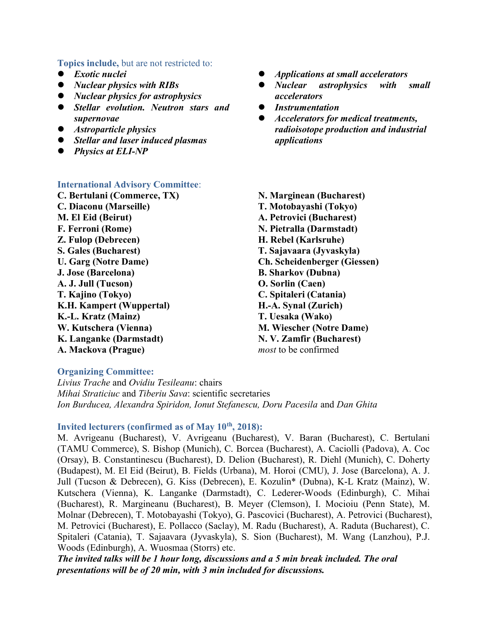#### Topics include, but are not restricted to:

- **•** Exotic nuclei
- Nuclear physics with RIBs
- Nuclear physics for astrophysics
- **•** Stellar evolution. Neutron stars and supernovae
- **•** Astroparticle physics
- Stellar and laser induced plasmas
- Physics at ELI-NP

### International Advisory Committee:

C. Bertulani (Commerce, TX) C. Diaconu (Marseille) M. El Eid (Beirut) F. Ferroni (Rome) Z. Fulop (Debrecen) S. Gales (Bucharest) U. Garg (Notre Dame) J. Jose (Barcelona) A. J. Jull (Tucson) T. Kajino (Tokyo) K.H. Kampert (Wuppertal) K.-L. Kratz (Mainz) W. Kutschera (Vienna) K. Langanke (Darmstadt) A. Mackova (Prague)

- Applications at small accelerators
- Nuclear astrophysics with small accelerators
- Instrumentation
- Accelerators for medical treatments, radioisotope production and industrial applications
- N. Marginean (Bucharest) T. Motobayashi (Tokyo) A. Petrovici (Bucharest) N. Pietralla (Darmstadt) H. Rebel (Karlsruhe) T. Sajavaara (Jyvaskyla) Ch. Scheidenberger (Giessen) B. Sharkov (Dubna) O. Sorlin (Caen) C. Spitaleri (Catania) H.-A. Synal (Zurich) T. Uesaka (Wako) M. Wiescher (Notre Dame) N. V. Zamfir (Bucharest) most to be confirmed

## Organizing Committee:

Livius Trache and Ovidiu Tesileanu: chairs Mihai Straticiuc and Tiberiu Sava: scientific secretaries Ion Burducea, Alexandra Spiridon, Ionut Stefanescu, Doru Pacesila and Dan Ghita

#### Invited lecturers (confirmed as of May  $10<sup>th</sup>$ , 2018):

M. Avrigeanu (Bucharest), V. Avrigeanu (Bucharest), V. Baran (Bucharest), C. Bertulani (TAMU Commerce), S. Bishop (Munich), C. Borcea (Bucharest), A. Caciolli (Padova), A. Coc (Orsay), B. Constantinescu (Bucharest), D. Delion (Bucharest), R. Diehl (Munich), C. Doherty (Budapest), M. El Eid (Beirut), B. Fields (Urbana), M. Horoi (CMU), J. Jose (Barcelona), A. J. Jull (Tucson & Debrecen), G. Kiss (Debrecen), E. Kozulin\* (Dubna), K-L Kratz (Mainz), W. Kutschera (Vienna), K. Langanke (Darmstadt), C. Lederer-Woods (Edinburgh), C. Mihai (Bucharest), R. Margineanu (Bucharest), B. Meyer (Clemson), I. Mocioiu (Penn State), M. Molnar (Debrecen), T. Motobayashi (Tokyo), G. Pascovici (Bucharest), A. Petrovici (Bucharest), M. Petrovici (Bucharest), E. Pollacco (Saclay), M. Radu (Bucharest), A. Raduta (Bucharest), C. Spitaleri (Catania), T. Sajaavara (Jyvaskyla), S. Sion (Bucharest), M. Wang (Lanzhou), P.J. Woods (Edinburgh), A. Wuosmaa (Storrs) etc.

The invited talks will be 1 hour long, discussions and a 5 min break included. The oral presentations will be of 20 min, with 3 min included for discussions.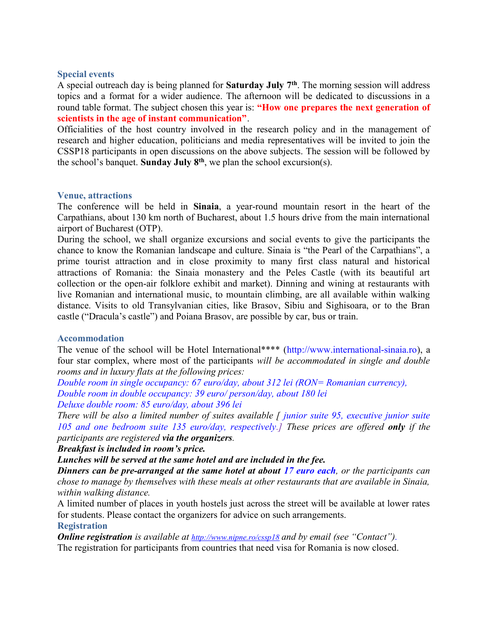#### Special events

A special outreach day is being planned for **Saturday July**  $7<sup>th</sup>$ . The morning session will address topics and a format for a wider audience. The afternoon will be dedicated to discussions in a round table format. The subject chosen this year is: "How one prepares the next generation of scientists in the age of instant communication".

Officialities of the host country involved in the research policy and in the management of research and higher education, politicians and media representatives will be invited to join the CSSP18 participants in open discussions on the above subjects. The session will be followed by the school's banquet. Sunday July  $8<sup>th</sup>$ , we plan the school excursion(s).

#### Venue, attractions

The conference will be held in Sinaia, a year-round mountain resort in the heart of the Carpathians, about 130 km north of Bucharest, about 1.5 hours drive from the main international airport of Bucharest (OTP).

During the school, we shall organize excursions and social events to give the participants the chance to know the Romanian landscape and culture. Sinaia is "the Pearl of the Carpathians", a prime tourist attraction and in close proximity to many first class natural and historical attractions of Romania: the Sinaia monastery and the Peles Castle (with its beautiful art collection or the open-air folklore exhibit and market). Dinning and wining at restaurants with live Romanian and international music, to mountain climbing, are all available within walking distance. Visits to old Transylvanian cities, like Brasov, Sibiu and Sighisoara, or to the Bran castle ("Dracula's castle") and Poiana Brasov, are possible by car, bus or train.

#### Accommodation

The venue of the school will be Hotel International\*\*\*\* (http://www.international-sinaia.ro), a four star complex, where most of the participants will be accommodated in single and double rooms and in luxury flats at the following prices:

Double room in single occupancy: 67 euro/day, about 312 lei (RON= Romanian currency), Double room in double occupancy: 39 euro/ person/day, about 180 lei Deluxe double room: 85 euro/day, about 396 lei

There will be also a limited number of suites available  $\int$  junior suite 95, executive junior suite 105 and one bedroom suite 135 euro/day, respectively.] These prices are offered only if the participants are registered via the organizers.

Breakfast is included in room's price.

## Lunches will be served at the same hotel and are included in the fee.

**Dinners can be pre-arranged at the same hotel at about 17 euro each, or the participants can** chose to manage by themselves with these meals at other restaurants that are available in Sinaia, within walking distance.

A limited number of places in youth hostels just across the street will be available at lower rates for students. Please contact the organizers for advice on such arrangements.

#### **Registration**

**Online registration** is available at  $\frac{http://www.nipne.ro/cssp18}{and by email (see "Context").$ The registration for participants from countries that need visa for Romania is now closed.